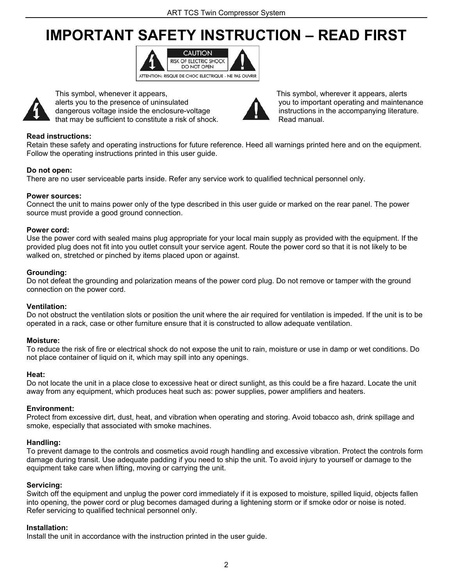# **IMPORTANT SAFETY INSTRUCTION – READ FIRST**





 alerts you to the presence of uninsulated you to important operating and maintenance dangerous voltage inside the enclosure-voltage **instructions in the accompanying literature**. that may be sufficient to constitute a risk of shock. Read manual.



This symbol, whenever it appears, This symbol, wherever it appears, alerts

### **Read instructions:**

Retain these safety and operating instructions for future reference. Heed all warnings printed here and on the equipment. Follow the operating instructions printed in this user guide.

### **Do not open:**

There are no user serviceable parts inside. Refer any service work to qualified technical personnel only.

### **Power sources:**

Connect the unit to mains power only of the type described in this user guide or marked on the rear panel. The power source must provide a good ground connection.

### **Power cord:**

Use the power cord with sealed mains plug appropriate for your local main supply as provided with the equipment. If the provided plug does not fit into you outlet consult your service agent. Route the power cord so that it is not likely to be walked on, stretched or pinched by items placed upon or against.

### **Grounding:**

Do not defeat the grounding and polarization means of the power cord plug. Do not remove or tamper with the ground connection on the power cord.

### **Ventilation:**

Do not obstruct the ventilation slots or position the unit where the air required for ventilation is impeded. If the unit is to be operated in a rack, case or other furniture ensure that it is constructed to allow adequate ventilation.

### **Moisture:**

To reduce the risk of fire or electrical shock do not expose the unit to rain, moisture or use in damp or wet conditions. Do not place container of liquid on it, which may spill into any openings.

### **Heat:**

Do not locate the unit in a place close to excessive heat or direct sunlight, as this could be a fire hazard. Locate the unit away from any equipment, which produces heat such as: power supplies, power amplifiers and heaters.

### **Environment:**

Protect from excessive dirt, dust, heat, and vibration when operating and storing. Avoid tobacco ash, drink spillage and smoke, especially that associated with smoke machines.

### **Handling:**

To prevent damage to the controls and cosmetics avoid rough handling and excessive vibration. Protect the controls form damage during transit. Use adequate padding if you need to ship the unit. To avoid injury to yourself or damage to the equipment take care when lifting, moving or carrying the unit.

### **Servicing:**

Switch off the equipment and unplug the power cord immediately if it is exposed to moisture, spilled liquid, objects fallen into opening, the power cord or plug becomes damaged during a lightening storm or if smoke odor or noise is noted. Refer servicing to qualified technical personnel only.

### **Installation:**

Install the unit in accordance with the instruction printed in the user guide.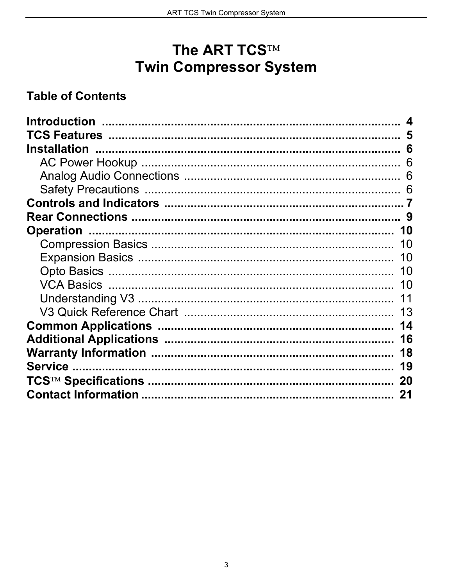## The ART TCS™ **Twin Compressor System**

## **Table of Contents**

| -5 |
|----|
| 6  |
| 6  |
| 6  |
| 6  |
|    |
|    |
| 10 |
| 10 |
| 10 |
| 10 |
| 10 |
|    |
| 13 |
| 14 |
| 16 |
| 18 |
| 19 |
| 20 |
|    |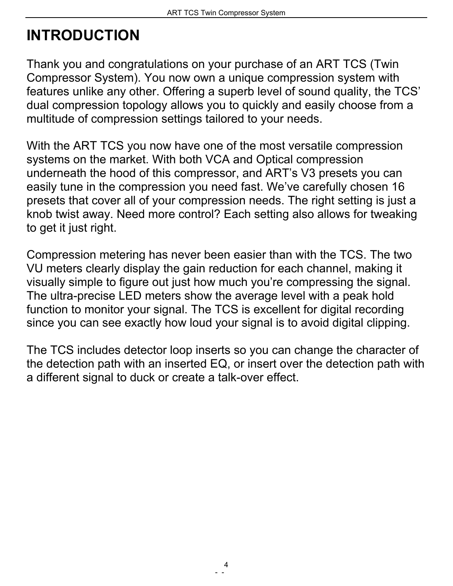# <span id="page-2-0"></span>**INTRODUCTION**

Thank you and congratulations on your purchase of an ART TCS (Twin Compressor System). You now own a unique compression system with features unlike any other. Offering a superb level of sound quality, the TCS' dual compression topology allows you to quickly and easily choose from a multitude of compression settings tailored to your needs.

With the ART TCS you now have one of the most versatile compression systems on the market. With both VCA and Optical compression underneath the hood of this compressor, and ART's V3 presets you can easily tune in the compression you need fast. We've carefully chosen 16 presets that cover all of your compression needs. The right setting is just a knob twist away. Need more control? Each setting also allows for tweaking to get it just right.

Compression metering has never been easier than with the TCS. The two VU meters clearly display the gain reduction for each channel, making it visually simple to figure out just how much you're compressing the signal. The ultra-precise LED meters show the average level with a peak hold function to monitor your signal. The TCS is excellent for digital recording since you can see exactly how loud your signal is to avoid digital clipping.

The TCS includes detector loop inserts so you can change the character of the detection path with an inserted EQ, or insert over the detection path with a different signal to duck or create a talk-over effect.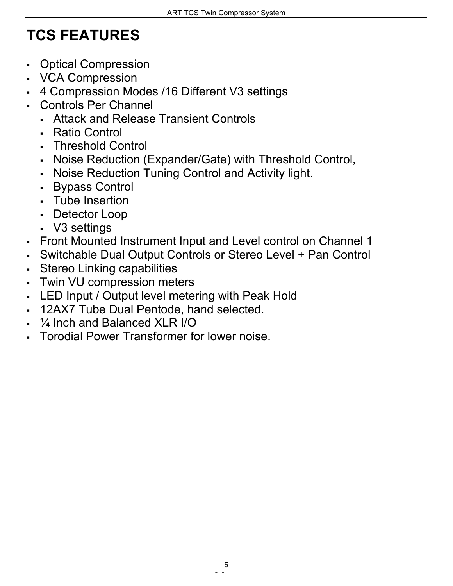# <span id="page-3-0"></span>**TCS FEATURES**

- Optical Compression
- VCA Compression
- 4 Compression Modes /16 Different V3 settings
- Controls Per Channel
	- Attack and Release Transient Controls
	- Ratio Control
	- Threshold Control
	- Noise Reduction (Expander/Gate) with Threshold Control,
	- Noise Reduction Tuning Control and Activity light.
	- Bypass Control
	- Tube Insertion
	- Detector Loop
	- V3 settings
- Front Mounted Instrument Input and Level control on Channel 1
- Switchable Dual Output Controls or Stereo Level + Pan Control
- Stereo Linking capabilities
- Twin VU compression meters
- LED Input / Output level metering with Peak Hold
- 12AX7 Tube Dual Pentode, hand selected.
- ¼ Inch and Balanced XLR I/O
- Torodial Power Transformer for lower noise.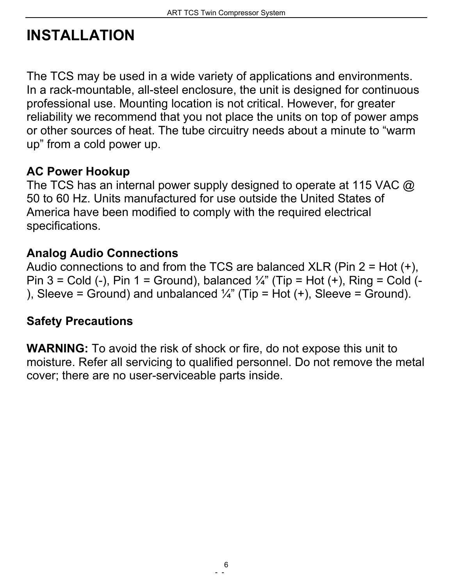# <span id="page-4-0"></span>**INSTALLATION**

The TCS may be used in a wide variety of applications and environments. In a rack-mountable, all-steel enclosure, the unit is designed for continuous professional use. Mounting location is not critical. However, for greater reliability we recommend that you not place the units on top of power amps or other sources of heat. The tube circuitry needs about a minute to "warm up" from a cold power up.

## <span id="page-4-1"></span>**AC Power Hookup**

The TCS has an internal power supply designed to operate at 115 VAC @ 50 to 60 Hz. Units manufactured for use outside the United States of America have been modified to comply with the required electrical specifications.

## <span id="page-4-2"></span>**Analog Audio Connections**

Audio connections to and from the TCS are balanced XLR (Pin  $2 = Hot (+)$ , Pin 3 = Cold (-), Pin 1 = Ground), balanced  $\frac{1}{4}$ " (Tip = Hot (+), Ring = Cold (-), Sleeve = Ground) and unbalanced  $\frac{1}{4}$ " (Tip = Hot (+), Sleeve = Ground).

## <span id="page-4-3"></span>**Safety Precautions**

**WARNING:** To avoid the risk of shock or fire, do not expose this unit to moisture. Refer all servicing to qualified personnel. Do not remove the metal cover; there are no user-serviceable parts inside.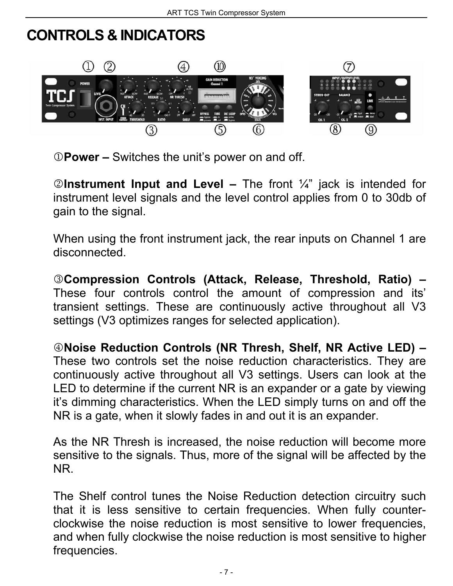## <span id="page-5-0"></span>**CONTROLS & INDICATORS**



1**Power –** Switches the unit's power on and off.

2**Instrument Input and Level –** The front ¼" jack is intended for instrument level signals and the level control applies from 0 to 30db of gain to the signal.

When using the front instrument jack, the rear inputs on Channel 1 are disconnected.

3**Compression Controls (Attack, Release, Threshold, Ratio) –**  These four controls control the amount of compression and its' transient settings. These are continuously active throughout all V3 settings (V3 optimizes ranges for selected application).

4**Noise Reduction Controls (NR Thresh, Shelf, NR Active LED) –** These two controls set the noise reduction characteristics. They are continuously active throughout all V3 settings. Users can look at the LED to determine if the current NR is an expander or a gate by viewing it's dimming characteristics. When the LED simply turns on and off the NR is a gate, when it slowly fades in and out it is an expander.

As the NR Thresh is increased, the noise reduction will become more sensitive to the signals. Thus, more of the signal will be affected by the NR.

The Shelf control tunes the Noise Reduction detection circuitry such that it is less sensitive to certain frequencies. When fully counterclockwise the noise reduction is most sensitive to lower frequencies, and when fully clockwise the noise reduction is most sensitive to higher frequencies.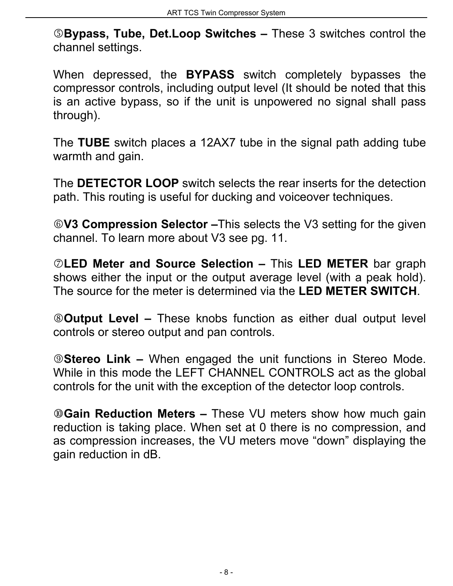5**Bypass, Tube, Det.Loop Switches –** These 3 switches control the channel settings.

When depressed, the **BYPASS** switch completely bypasses the compressor controls, including output level (It should be noted that this is an active bypass, so if the unit is unpowered no signal shall pass through).

The **TUBE** switch places a 12AX7 tube in the signal path adding tube warmth and gain.

The **DETECTOR LOOP** switch selects the rear inserts for the detection path. This routing is useful for ducking and voiceover techniques.

6**V3 Compression Selector –**This selects the V3 setting for the given channel. To learn more about V3 see pg. [11.](#page-9-0)

7**LED Meter and Source Selection –** This **LED METER** bar graph shows either the input or the output average level (with a peak hold). The source for the meter is determined via the **LED METER SWITCH**.

8**Output Level –** These knobs function as either dual output level controls or stereo output and pan controls.

9**Stereo Link –** When engaged the unit functions in Stereo Mode. While in this mode the LEFT CHANNEL CONTROLS act as the global controls for the unit with the exception of the detector loop controls.

*<b>WGain Reduction Meters – These VU meters show how much gain* reduction is taking place. When set at 0 there is no compression, and as compression increases, the VU meters move "down" displaying the gain reduction in dB.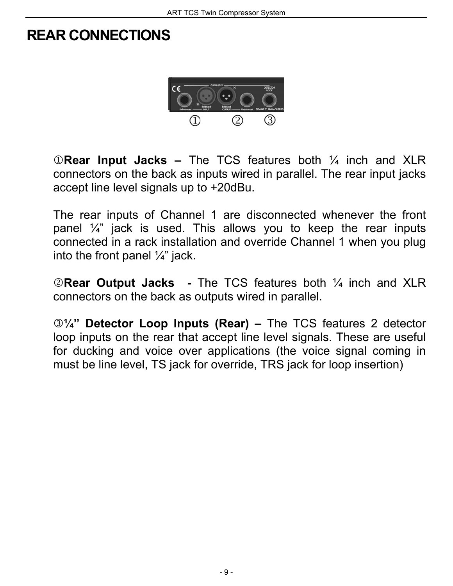## **REAR CONNECTIONS**



1**Rear Input Jacks –** The TCS features both ¼ inch and XLR connectors on the back as inputs wired in parallel. The rear input jacks accept line level signals up to +20dBu.

The rear inputs of Channel 1 are disconnected whenever the front panel  $\frac{1}{4}$ " jack is used. This allows you to keep the rear inputs connected in a rack installation and override Channel 1 when you plug into the front panel  $\frac{1}{4}$ " jack.

2**Rear Output Jacks -** The TCS features both ¼ inch and XLR connectors on the back as outputs wired in parallel.

3**¼" Detector Loop Inputs (Rear) –** The TCS features 2 detector loop inputs on the rear that accept line level signals. These are useful for ducking and voice over applications (the voice signal coming in must be line level, TS jack for override, TRS jack for loop insertion)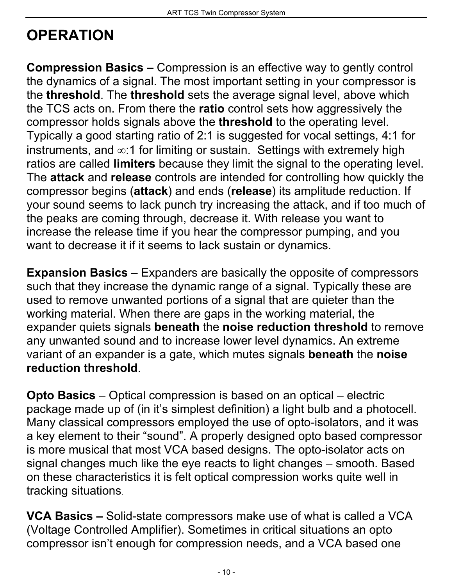# **OPERATION**

<span id="page-8-0"></span>**Compression Basics –** Compression is an effective way to gently control the dynamics of a signal. The most important setting in your compressor is the **threshold**. The **threshold** sets the average signal level, above which the TCS acts on. From there the **ratio** control sets how aggressively the compressor holds signals above the **threshold** to the operating level. Typically a good starting ratio of 2:1 is suggested for vocal settings, 4:1 for instruments, and ∞:1 for limiting or sustain. Settings with extremely high ratios are called **limiters** because they limit the signal to the operating level. The **attack** and **release** controls are intended for controlling how quickly the compressor begins (**attack**) and ends (**release**) its amplitude reduction. If your sound seems to lack punch try increasing the attack, and if too much of the peaks are coming through, decrease it. With release you want to increase the release time if you hear the compressor pumping, and you want to decrease it if it seems to lack sustain or dynamics.

<span id="page-8-1"></span>**Expansion Basics** – Expanders are basically the opposite of compressors such that they increase the dynamic range of a signal. Typically these are used to remove unwanted portions of a signal that are quieter than the working material. When there are gaps in the working material, the expander quiets signals **beneath** the **noise reduction threshold** to remove any unwanted sound and to increase lower level dynamics. An extreme variant of an expander is a gate, which mutes signals **beneath** the **noise reduction threshold**.

<span id="page-8-2"></span>**Opto Basics** – Optical compression is based on an optical – electric package made up of (in it's simplest definition) a light bulb and a photocell. Many classical compressors employed the use of opto-isolators, and it was a key element to their "sound". A properly designed opto based compressor is more musical that most VCA based designs. The opto-isolator acts on signal changes much like the eye reacts to light changes – smooth. Based on these characteristics it is felt optical compression works quite well in tracking situations.

<span id="page-8-3"></span>**VCA Basics –** Solid-state compressors make use of what is called a VCA (Voltage Controlled Amplifier). Sometimes in critical situations an opto compressor isn't enough for compression needs, and a VCA based one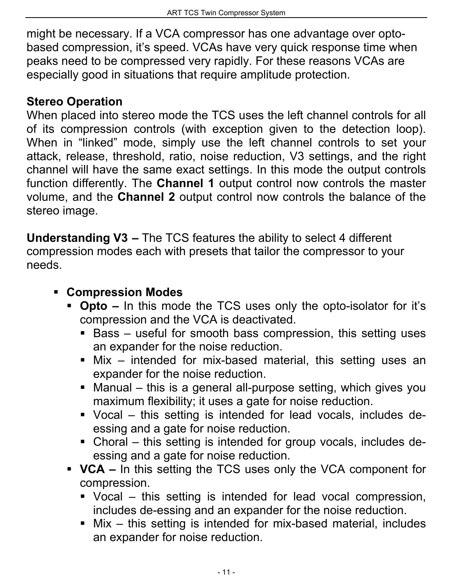might be necessary. If a VCA compressor has one advantage over optobased compression, it's speed. VCAs have very quick response time when peaks need to be compressed very rapidly. For these reasons VCAs are especially good in situations that require amplitude protection.

## **Stereo Operation**

When placed into stereo mode the TCS uses the left channel controls for all of its compression controls (with exception given to the detection loop). When in "linked" mode, simply use the left channel controls to set your attack, release, threshold, ratio, noise reduction, V3 settings, and the right channel will have the same exact settings. In this mode the output controls function differently. The **Channel 1** output control now controls the master volume, and the **Channel 2** output control now controls the balance of the stereo image.

<span id="page-9-0"></span>**Understanding V3 –** The TCS features the ability to select 4 different compression modes each with presets that tailor the compressor to your needs.

## **Compression Modes**

- **Opto** In this mode the TCS uses only the opto-isolator for it's compression and the VCA is deactivated.
	- $\blacksquare$  Bass useful for smooth bass compression, this setting uses an expander for the noise reduction.
	- Mix intended for mix-based material, this setting uses an expander for the noise reduction.
	- Manual this is a general all-purpose setting, which gives you maximum flexibility; it uses a gate for noise reduction.
	- Vocal this setting is intended for lead vocals, includes deessing and a gate for noise reduction.
	- Choral this setting is intended for group vocals, includes deessing and a gate for noise reduction.
- **VCA** In this setting the TCS uses only the VCA component for compression.
	- Vocal this setting is intended for lead vocal compression, includes de-essing and an expander for the noise reduction.
	- Mix this setting is intended for mix-based material, includes an expander for noise reduction.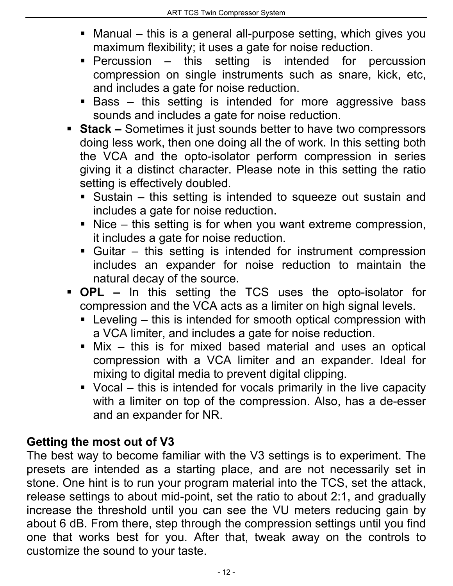- Manual this is a general all-purpose setting, which gives you maximum flexibility; it uses a gate for noise reduction.
- Percussion this setting is intended for percussion compression on single instruments such as snare, kick, etc, and includes a gate for noise reduction.
- Bass this setting is intended for more aggressive bass sounds and includes a gate for noise reduction.
- **Stack** Sometimes it just sounds better to have two compressors doing less work, then one doing all the of work. In this setting both the VCA and the opto-isolator perform compression in series giving it a distinct character. Please note in this setting the ratio setting is effectively doubled.
	- Sustain this setting is intended to squeeze out sustain and includes a gate for noise reduction.
	- $\blacksquare$  Nice this setting is for when you want extreme compression, it includes a gate for noise reduction.
	- Guitar this setting is intended for instrument compression includes an expander for noise reduction to maintain the natural decay of the source.
- **OPL** In this setting the TCS uses the opto-isolator for compression and the VCA acts as a limiter on high signal levels.
	- **EXECT** Leveling this is intended for smooth optical compression with a VCA limiter, and includes a gate for noise reduction.
	- Mix this is for mixed based material and uses an optical compression with a VCA limiter and an expander. Ideal for mixing to digital media to prevent digital clipping.
	- Vocal this is intended for vocals primarily in the live capacity with a limiter on top of the compression. Also, has a de-esser and an expander for NR.

## **Getting the most out of V3**

The best way to become familiar with the V3 settings is to experiment. The presets are intended as a starting place, and are not necessarily set in stone. One hint is to run your program material into the TCS, set the attack, release settings to about mid-point, set the ratio to about 2:1, and gradually increase the threshold until you can see the VU meters reducing gain by about 6 dB. From there, step through the compression settings until you find one that works best for you. After that, tweak away on the controls to customize the sound to your taste.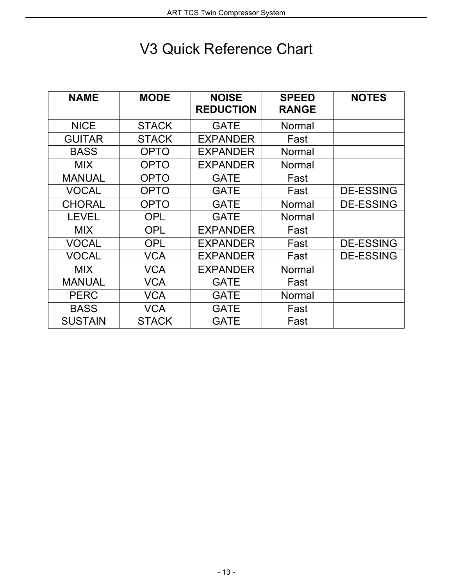# <span id="page-11-0"></span>V3 Quick Reference Chart

| <b>NAME</b>    | <b>MODE</b>  | <b>NOISE</b>     | <b>SPEED</b> | <b>NOTES</b>     |
|----------------|--------------|------------------|--------------|------------------|
|                |              | <b>REDUCTION</b> | <b>RANGE</b> |                  |
| <b>NICE</b>    | <b>STACK</b> | <b>GATE</b>      | Normal       |                  |
| <b>GUITAR</b>  | <b>STACK</b> | <b>EXPANDER</b>  | Fast         |                  |
| <b>BASS</b>    | <b>OPTO</b>  | <b>EXPANDER</b>  | Normal       |                  |
| <b>MIX</b>     | <b>OPTO</b>  | <b>EXPANDER</b>  | Normal       |                  |
| <b>MANUAL</b>  | <b>OPTO</b>  | <b>GATE</b>      | Fast         |                  |
| <b>VOCAL</b>   | <b>OPTO</b>  | <b>GATE</b>      | Fast         | <b>DE-ESSING</b> |
| <b>CHORAL</b>  | <b>OPTO</b>  | <b>GATE</b>      | Normal       | <b>DE-ESSING</b> |
| <b>LEVEL</b>   | <b>OPL</b>   | <b>GATE</b>      | Normal       |                  |
| <b>MIX</b>     | <b>OPL</b>   | <b>EXPANDER</b>  | Fast         |                  |
| <b>VOCAL</b>   | <b>OPL</b>   | <b>EXPANDER</b>  | Fast         | <b>DE-ESSING</b> |
| <b>VOCAL</b>   | <b>VCA</b>   | <b>EXPANDER</b>  | Fast         | <b>DE-ESSING</b> |
| <b>MIX</b>     | <b>VCA</b>   | <b>EXPANDER</b>  | Normal       |                  |
| <b>MANUAL</b>  | <b>VCA</b>   | <b>GATE</b>      | Fast         |                  |
| <b>PERC</b>    | <b>VCA</b>   | <b>GATE</b>      | Normal       |                  |
| <b>BASS</b>    | <b>VCA</b>   | <b>GATE</b>      | Fast         |                  |
| <b>SUSTAIN</b> | <b>STACK</b> | GATE             | Fast         |                  |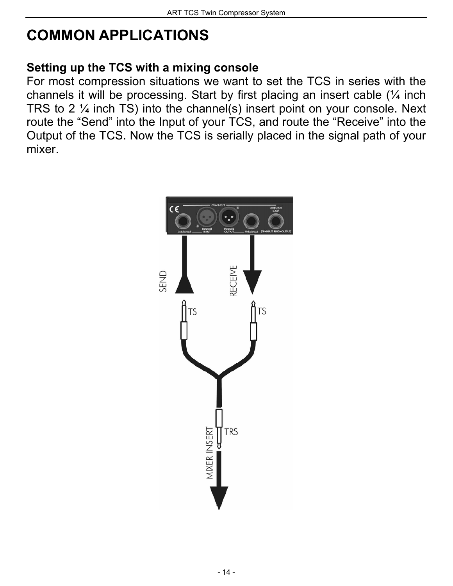# <span id="page-12-0"></span>**COMMON APPLICATIONS**

## **Setting up the TCS with a mixing console**

For most compression situations we want to set the TCS in series with the channels it will be processing. Start by first placing an insert cable (¼ inch TRS to 2 ¼ inch TS) into the channel(s) insert point on your console. Next route the "Send" into the Input of your TCS, and route the "Receive" into the Output of the TCS. Now the TCS is serially placed in the signal path of your mixer.

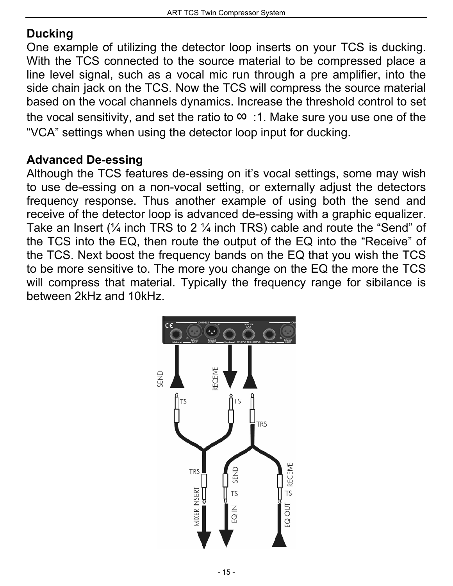## **Ducking**

One example of utilizing the detector loop inserts on your TCS is ducking. With the TCS connected to the source material to be compressed place a line level signal, such as a vocal mic run through a pre amplifier, into the side chain jack on the TCS. Now the TCS will compress the source material based on the vocal channels dynamics. Increase the threshold control to set the vocal sensitivity, and set the ratio to  $\therefore$  1. Make sure you use one of the "VCA" settings when using the detector loop input for ducking.

## **Advanced De-essing**

Although the TCS features de-essing on it's vocal settings, some may wish to use de-essing on a non-vocal setting, or externally adjust the detectors frequency response. Thus another example of using both the send and receive of the detector loop is advanced de-essing with a graphic equalizer. Take an Insert  $\frac{1}{4}$  inch TRS to 2  $\frac{1}{4}$  inch TRS) cable and route the "Send" of the TCS into the EQ, then route the output of the EQ into the "Receive" of the TCS. Next boost the frequency bands on the EQ that you wish the TCS to be more sensitive to. The more you change on the EQ the more the TCS will compress that material. Typically the frequency range for sibilance is between 2kHz and 10kHz.

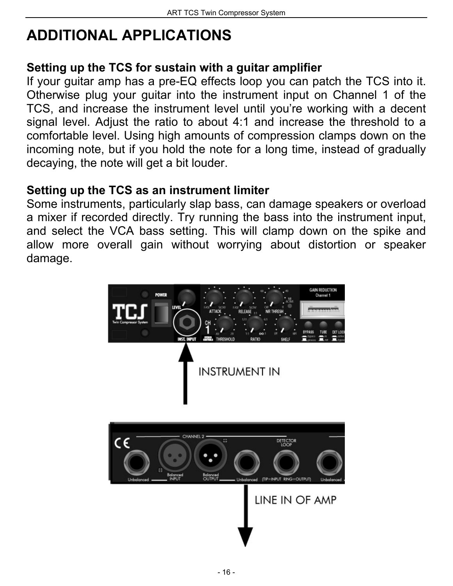# **ADDITIONAL APPLICATIONS**

## **Setting up the TCS for sustain with a guitar amplifier**

If your guitar amp has a pre-EQ effects loop you can patch the TCS into it. Otherwise plug your guitar into the instrument input on Channel 1 of the TCS, and increase the instrument level until you're working with a decent signal level. Adjust the ratio to about 4:1 and increase the threshold to a comfortable level. Using high amounts of compression clamps down on the incoming note, but if you hold the note for a long time, instead of gradually decaying, the note will get a bit louder.

## **Setting up the TCS as an instrument limiter**

Some instruments, particularly slap bass, can damage speakers or overload a mixer if recorded directly. Try running the bass into the instrument input, and select the VCA bass setting. This will clamp down on the spike and allow more overall gain without worrying about distortion or speaker damage.

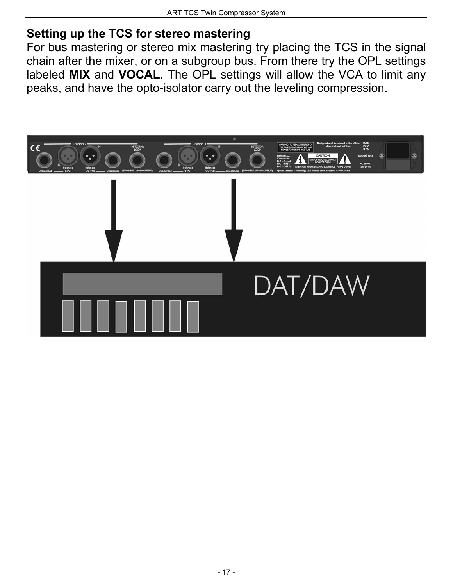## **Setting up the TCS for stereo mastering**

For bus mastering or stereo mix mastering try placing the TCS in the signal chain after the mixer, or on a subgroup bus. From there try the OPL settings labeled **MIX** and **VOCAL**. The OPL settings will allow the VCA to limit any peaks, and have the opto-isolator carry out the leveling compression.

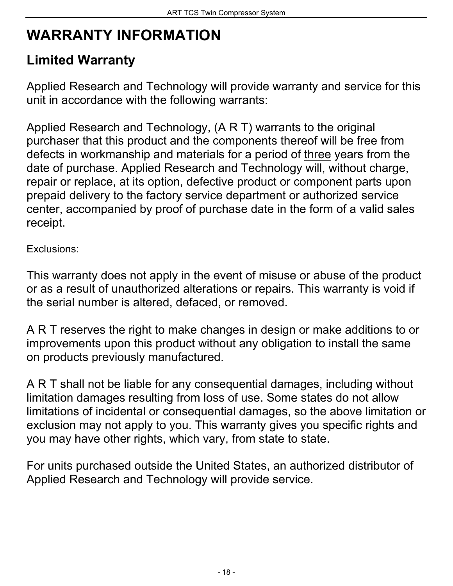# **WARRANTY INFORMATION**

## **Limited Warranty**

Applied Research and Technology will provide warranty and service for this unit in accordance with the following warrants:

Applied Research and Technology, (A R T) warrants to the original purchaser that this product and the components thereof will be free from defects in workmanship and materials for a period of three years from the date of purchase. Applied Research and Technology will, without charge, repair or replace, at its option, defective product or component parts upon prepaid delivery to the factory service department or authorized service center, accompanied by proof of purchase date in the form of a valid sales receipt.

Exclusions:

This warranty does not apply in the event of misuse or abuse of the product or as a result of unauthorized alterations or repairs. This warranty is void if the serial number is altered, defaced, or removed.

A R T reserves the right to make changes in design or make additions to or improvements upon this product without any obligation to install the same on products previously manufactured.

A R T shall not be liable for any consequential damages, including without limitation damages resulting from loss of use. Some states do not allow limitations of incidental or consequential damages, so the above limitation or exclusion may not apply to you. This warranty gives you specific rights and you may have other rights, which vary, from state to state.

For units purchased outside the United States, an authorized distributor of Applied Research and Technology will provide service.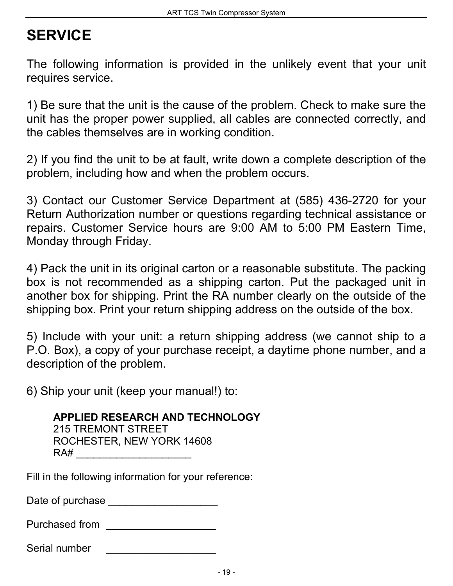# <span id="page-17-0"></span>**SERVICE**

The following information is provided in the unlikely event that your unit requires service.

1) Be sure that the unit is the cause of the problem. Check to make sure the unit has the proper power supplied, all cables are connected correctly, and the cables themselves are in working condition.

2) If you find the unit to be at fault, write down a complete description of the problem, including how and when the problem occurs.

3) Contact our Customer Service Department at (585) 436-2720 for your Return Authorization number or questions regarding technical assistance or repairs. Customer Service hours are 9:00 AM to 5:00 PM Eastern Time, Monday through Friday.

4) Pack the unit in its original carton or a reasonable substitute. The packing box is not recommended as a shipping carton. Put the packaged unit in another box for shipping. Print the RA number clearly on the outside of the shipping box. Print your return shipping address on the outside of the box.

5) Include with your unit: a return shipping address (we cannot ship to a P.O. Box), a copy of your purchase receipt, a daytime phone number, and a description of the problem.

6) Ship your unit (keep your manual!) to:

 **APPLIED RESEARCH AND TECHNOLOGY**  215 TREMONT STREET ROCHESTER, NEW YORK 14608  $RA#$ 

Fill in the following information for your reference:

Date of purchase

| Purchased from |  |
|----------------|--|
|                |  |

Serial number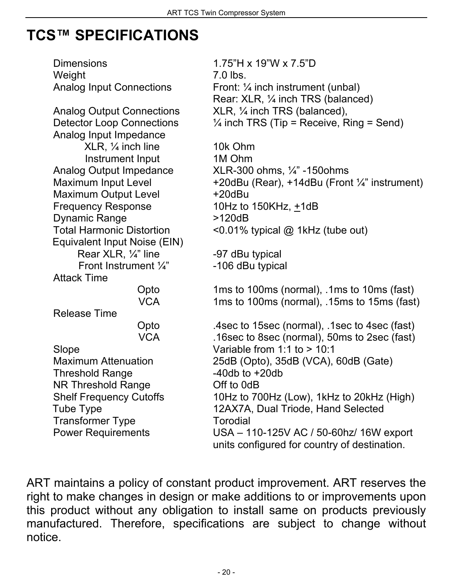## <span id="page-18-0"></span>**TCS™ SPECIFICATIONS**

Dimensions 1.75"H x 19"W x 7.5"D Weight 7.0 lbs. Analog Input Connections Front: 1/4 inch instrument (unbal) Rear: XLR, ¼ inch TRS (balanced) Analog Output Connections XLR, 1/4 inch TRS (balanced), Detector Loop Connections  $\frac{1}{4}$  inch TRS (Tip = Receive, Ring = Send) Analog Input Impedance XLR, ¼ inch line 10k Ohm Instrument Input 1M Ohm Analog Output Impedance XLR-300 ohms, 1/4" -150ohms<br>Maximum Input Level +20dBu (Rear), +14dBu (Fron +20dBu (Rear), +14dBu (Front ¼" instrument) Maximum Output Level  $+20$ dBu Frequency Response 10Hz to 150KHz, +1dB Dynamic Range  $>120dB$ Total Harmonic Distortion <0.01% typical @ 1kHz (tube out) Equivalent Input Noise (EIN) Rear XLR,  $\frac{1}{4}$ " line  $-97$  dBu typical Front Instrument  $\frac{1}{4}$ " -106 dBu typical Attack Time Opto 1ms to 100ms (normal), .1ms to 10ms (fast) VCA 1ms to 100ms (normal), .15ms to 15ms (fast) Release Time Opto .4sec to 15sec (normal), .1sec to 4sec (fast) VCA .16sec to 8sec (normal), 50ms to 2sec (fast) Slope Variable from 1:1 to > 10:1 Maximum Attenuation 25dB (Opto), 35dB (VCA), 60dB (Gate) Threshold Range -40db to +20db NR Threshold Range **Off to 0dB** Shelf Frequency Cutoffs 10Hz to 700Hz (Low), 1kHz to 20kHz (High) Tube Type 12AX7A, Dual Triode, Hand Selected Transformer Type Torodial Power Requirements USA – 110-125V AC / 50-60hz/ 16W export units configured for country of destination.

ART maintains a policy of constant product improvement. ART reserves the right to make changes in design or make additions to or improvements upon this product without any obligation to install same on products previously manufactured. Therefore, specifications are subject to change without notice.